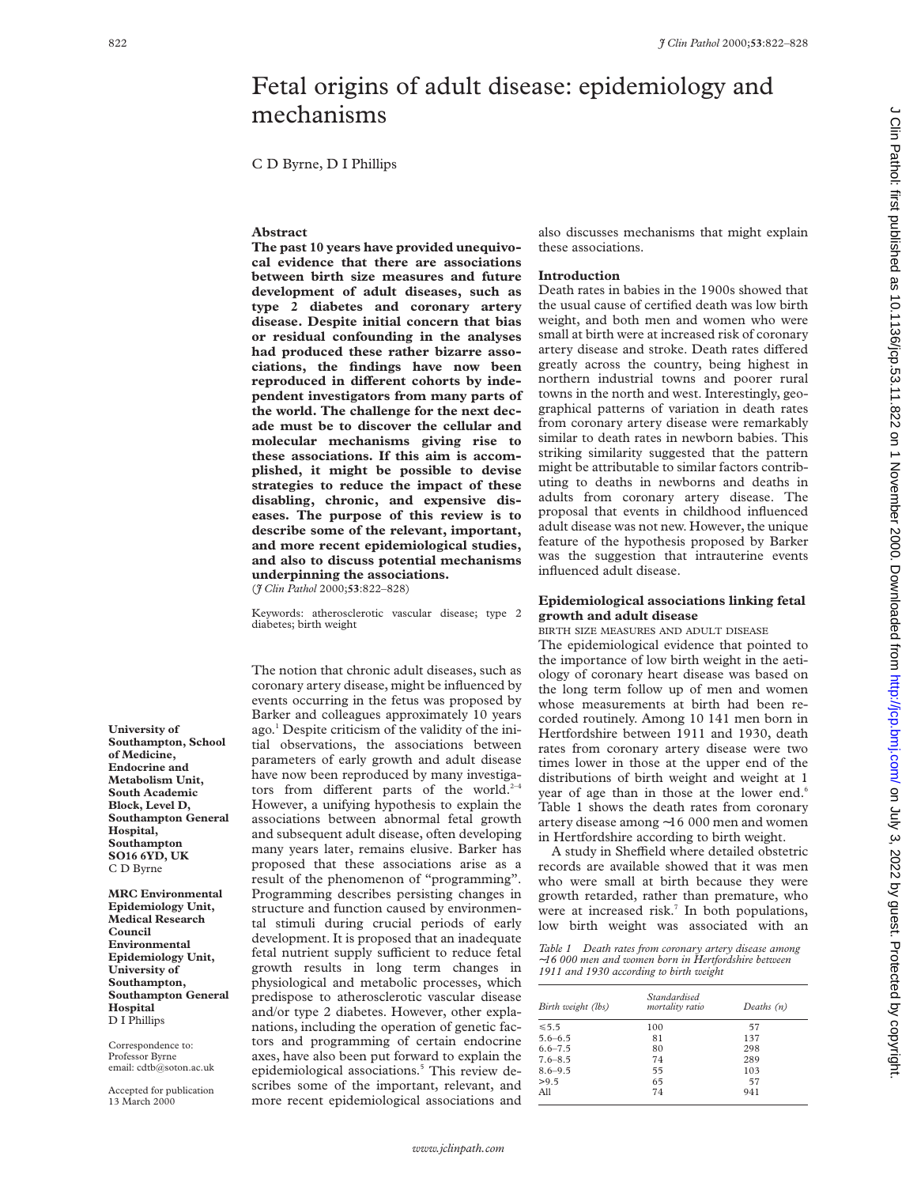# Fetal origins of adult disease: epidemiology and mechanisms

C D Byrne, D I Phillips

# **Abstract**

**The past 10 years have provided unequivocal evidence that there are associations between birth size measures and future development of adult diseases, such as type 2 diabetes and coronary artery disease. Despite initial concern that bias or residual confounding in the analyses had produced these rather bizarre associations, the findings have now been** reproduced in different cohorts by inde**pendent investigators from many parts of the world. The challenge for the next decade must be to discover the cellular and molecular mechanisms giving rise to these associations. If this aim is accomplished, it might be possible to devise strategies to reduce the impact of these disabling, chronic, and expensive diseases. The purpose of this review is to describe some of the relevant, important, and more recent epidemiological studies, and also to discuss potential mechanisms underpinning the associations.** (*J Clin Pathol* 2000;**53**:822–828)

Keywords: atherosclerotic vascular disease; type 2 diabetes; birth weight

The notion that chronic adult diseases, such as coronary artery disease, might be influenced by events occurring in the fetus was proposed by Barker and colleagues approximately 10 years ago.1 Despite criticism of the validity of the initial observations, the associations between parameters of early growth and adult disease have now been reproduced by many investigators from different parts of the world.<sup>2-4</sup> However, a unifying hypothesis to explain the associations between abnormal fetal growth and subsequent adult disease, often developing many years later, remains elusive. Barker has proposed that these associations arise as a result of the phenomenon of "programming". Programming describes persisting changes in structure and function caused by environmental stimuli during crucial periods of early development. It is proposed that an inadequate fetal nutrient supply sufficient to reduce fetal growth results in long term changes in physiological and metabolic processes, which predispose to atherosclerotic vascular disease and/or type 2 diabetes. However, other explanations, including the operation of genetic factors and programming of certain endocrine axes, have also been put forward to explain the epidemiological associations.<sup>5</sup> This review describes some of the important, relevant, and more recent epidemiological associations and also discusses mechanisms that might explain these associations.

#### **Introduction**

Death rates in babies in the 1900s showed that the usual cause of certified death was low birth weight, and both men and women who were small at birth were at increased risk of coronary artery disease and stroke. Death rates differed greatly across the country, being highest in northern industrial towns and poorer rural towns in the north and west. Interestingly, geographical patterns of variation in death rates from coronary artery disease were remarkably similar to death rates in newborn babies. This striking similarity suggested that the pattern might be attributable to similar factors contributing to deaths in newborns and deaths in adults from coronary artery disease. The proposal that events in childhood influenced adult disease was not new. However, the unique feature of the hypothesis proposed by Barker was the suggestion that intrauterine events influenced adult disease.

#### **Epidemiological associations linking fetal growth and adult disease**

BIRTH SIZE MEASURES AND ADULT DISEASE

The epidemiological evidence that pointed to the importance of low birth weight in the aetiology of coronary heart disease was based on the long term follow up of men and women whose measurements at birth had been recorded routinely. Among 10 141 men born in Hertfordshire between 1911 and 1930, death rates from coronary artery disease were two times lower in those at the upper end of the distributions of birth weight and weight at 1 year of age than in those at the lower end.<sup>6</sup> Table 1 shows the death rates from coronary artery disease among ∼16 000 men and women in Hertfordshire according to birth weight.

A study in Sheffield where detailed obstetric records are available showed that it was men who were small at birth because they were growth retarded, rather than premature, who were at increased risk.<sup>7</sup> In both populations, low birth weight was associated with an

*Table 1 Death rates from coronary artery disease among* ∼*16 000 men and women born in Hertfordshire between 1911 and 1930 according to birth weight*

| Birth weight (lbs) | <b>Standardised</b><br>mortality ratio | Deaths $(n)$ |
|--------------------|----------------------------------------|--------------|
| $\leq 5.5$         | 100                                    | 57           |
| $5.6 - 6.5$        | 81                                     | 137          |
| $6.6 - 7.5$        | 80                                     | 298          |
| $7.6 - 8.5$        | 74                                     | 289          |
| $8.6 - 9.5$        | 55                                     | 103          |
| >9.5               | 65                                     | 57           |
| All                | 74                                     | 941          |

**University of Southampton, School of Medicine, Endocrine and Metabolism Unit, South Academic Block, Level D, Southampton General Hospital, Southampton SO16 6YD, UK** C D Byrne

**MRC Environmental Epidemiology Unit, Medical Research Council Environmental Epidemiology Unit, University of Southampton, Southampton General Hospital** D I Phillips

Correspondence to: Professor Byrne email: cdtb@soton.ac.uk

Accepted for publication 13 March 2000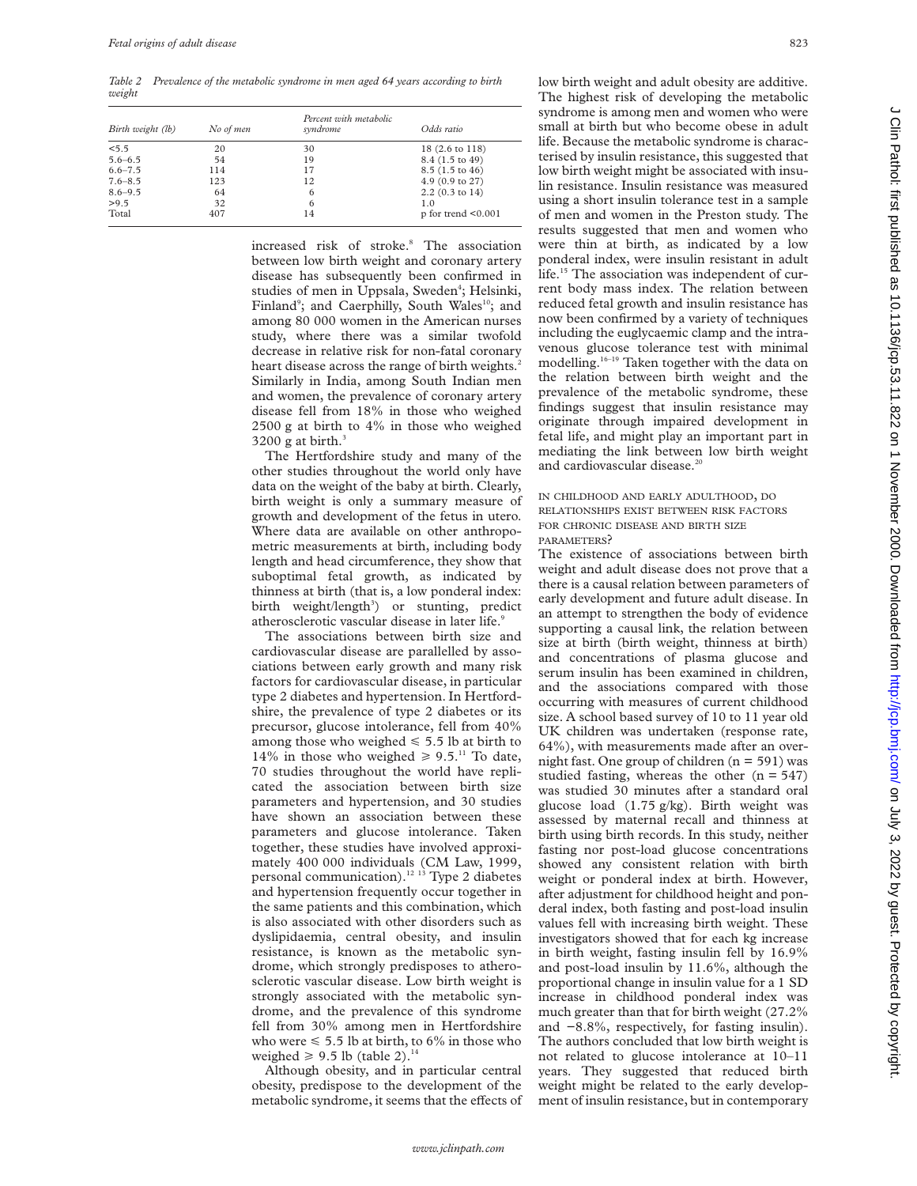*Table 2 Prevalence of the metabolic syndrome in men aged 64 years according to birth weight*

| Birth weight (lb) | No of men | Percent with metabolic<br>syndrome | Odds ratio                 |
|-------------------|-----------|------------------------------------|----------------------------|
| < 5.5             | 20        | 30                                 | 18 (2.6 to 118)            |
| $5.6 - 6.5$       | 54        | 19                                 | 8.4 (1.5 to 49)            |
| $6.6 - 7.5$       | 114       | 17                                 | $8.5(1.5 \text{ to } 46)$  |
| $7.6 - 8.5$       | 123       | 12                                 | 4.9 (0.9 to 27)            |
| $8.6 - 9.5$       | 64        | 6                                  | $2.2(0.3 \text{ to } 14)$  |
| >9.5              | 32        | 6                                  | 1.0                        |
| Total             | 407       | 14                                 | $p$ for trend $\leq 0.001$ |

increased risk of stroke.<sup>8</sup> The association between low birth weight and coronary artery disease has subsequently been confirmed in studies of men in Uppsala, Sweden<sup>4</sup>; Helsinki, Finland<sup>9</sup>; and Caerphilly, South Wales<sup>10</sup>; and among 80 000 women in the American nurses study, where there was a similar twofold decrease in relative risk for non-fatal coronary heart disease across the range of birth weights.<sup>2</sup> Similarly in India, among South Indian men and women, the prevalence of coronary artery disease fell from 18% in those who weighed 2500 g at birth to 4% in those who weighed 3200 g at birth. $3$ 

The Hertfordshire study and many of the other studies throughout the world only have data on the weight of the baby at birth. Clearly, birth weight is only a summary measure of growth and development of the fetus in utero. Where data are available on other anthropometric measurements at birth, including body length and head circumference, they show that suboptimal fetal growth, as indicated by thinness at birth (that is, a low ponderal index: birth weight/length<sup>3</sup>) or stunting, predict atherosclerotic vascular disease in later life.<sup>9</sup>

The associations between birth size and cardiovascular disease are parallelled by associations between early growth and many risk factors for cardiovascular disease, in particular type 2 diabetes and hypertension. In Hertfordshire, the prevalence of type 2 diabetes or its precursor, glucose intolerance, fell from 40% among those who weighed  $\leq 5.5$  lb at birth to 14% in those who weighed  $\geq 9.5$ .<sup>11</sup> To date, 70 studies throughout the world have replicated the association between birth size parameters and hypertension, and 30 studies have shown an association between these parameters and glucose intolerance. Taken together, these studies have involved approximately 400 000 individuals (CM Law, 1999, personal communication).<sup>12</sup><sup>13</sup> Type 2 diabetes and hypertension frequently occur together in the same patients and this combination, which is also associated with other disorders such as dyslipidaemia, central obesity, and insulin resistance, is known as the metabolic syndrome, which strongly predisposes to atherosclerotic vascular disease. Low birth weight is strongly associated with the metabolic syndrome, and the prevalence of this syndrome fell from 30% among men in Hertfordshire who were  $\leq 5.5$  lb at birth, to 6% in those who weighed  $\geq 9.5$  lb (table 2).<sup>14</sup>

Although obesity, and in particular central obesity, predispose to the development of the metabolic syndrome, it seems that the effects of

low birth weight and adult obesity are additive. The highest risk of developing the metabolic syndrome is among men and women who were small at birth but who become obese in adult life. Because the metabolic syndrome is characterised by insulin resistance, this suggested that low birth weight might be associated with insulin resistance. Insulin resistance was measured using a short insulin tolerance test in a sample of men and women in the Preston study. The results suggested that men and women who were thin at birth, as indicated by a low ponderal index, were insulin resistant in adult life.<sup>15</sup> The association was independent of current body mass index. The relation between reduced fetal growth and insulin resistance has now been confirmed by a variety of techniques including the euglycaemic clamp and the intravenous glucose tolerance test with minimal modelling.16–19 Taken together with the data on the relation between birth weight and the prevalence of the metabolic syndrome, these findings suggest that insulin resistance may originate through impaired development in fetal life, and might play an important part in mediating the link between low birth weight and cardiovascular disease.<sup>21</sup>

IN CHILDHOOD AND EARLY ADULTHOOD, DO RELATIONSHIPS EXIST BETWEEN RISK FACTORS FOR CHRONIC DISEASE AND BIRTH SIZE PARAMETERS?

The existence of associations between birth weight and adult disease does not prove that a there is a causal relation between parameters of early development and future adult disease. In an attempt to strengthen the body of evidence supporting a causal link, the relation between size at birth (birth weight, thinness at birth) and concentrations of plasma glucose and serum insulin has been examined in children, and the associations compared with those occurring with measures of current childhood size. A school based survey of 10 to 11 year old UK children was undertaken (response rate, 64%), with measurements made after an overnight fast. One group of children  $(n = 591)$  was studied fasting, whereas the other  $(n = 547)$ was studied 30 minutes after a standard oral glucose load (1.75 g/kg). Birth weight was assessed by maternal recall and thinness at birth using birth records. In this study, neither fasting nor post-load glucose concentrations showed any consistent relation with birth weight or ponderal index at birth. However, after adjustment for childhood height and ponderal index, both fasting and post-load insulin values fell with increasing birth weight. These investigators showed that for each kg increase in birth weight, fasting insulin fell by 16.9% and post-load insulin by 11.6%, although the proportional change in insulin value for a 1 SD increase in childhood ponderal index was much greater than that for birth weight (27.2% and −8.8%, respectively, for fasting insulin). The authors concluded that low birth weight is not related to glucose intolerance at 10–11 years. They suggested that reduced birth weight might be related to the early development of insulin resistance, but in contemporary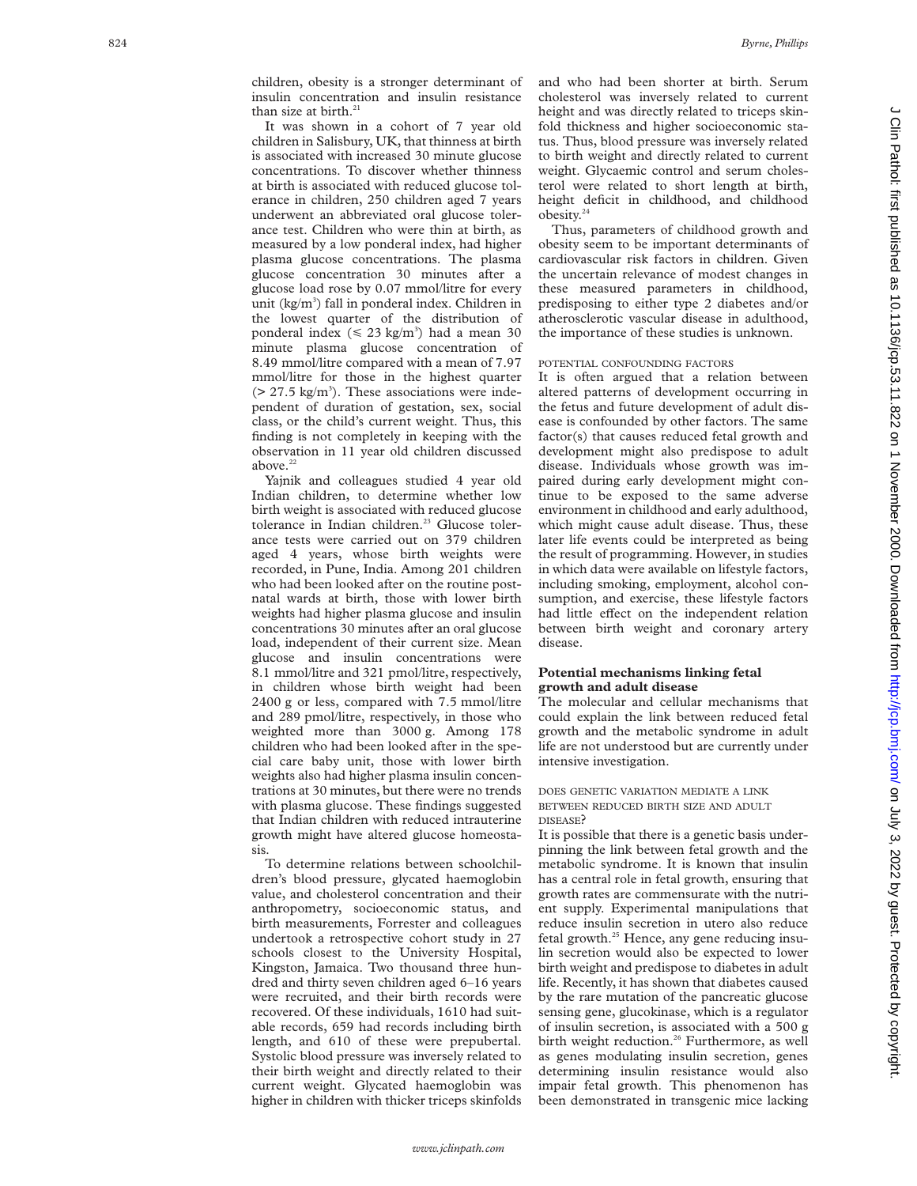children, obesity is a stronger determinant of insulin concentration and insulin resistance than size at birth. $21$ 

It was shown in a cohort of 7 year old children in Salisbury, UK, that thinness at birth is associated with increased 30 minute glucose concentrations. To discover whether thinness at birth is associated with reduced glucose tolerance in children, 250 children aged 7 years underwent an abbreviated oral glucose tolerance test. Children who were thin at birth, as measured by a low ponderal index, had higher plasma glucose concentrations. The plasma glucose concentration 30 minutes after a glucose load rose by 0.07 mmol/litre for every unit (kg/m 3 ) fall in ponderal index. Children in the lowest quarter of the distribution of ponderal index ( < 23 kg/m 3 ) had a mean 30 minute plasma glucose concentration of 8.49 mmol/litre compared with a mean of 7.97 mmol/litre for those in the highest quarter  $(> 27.5 \text{ kg/m}^3)$ . These associations were independent of duration of gestation, sex, social class, or the child's current weight. Thus, this finding is not completely in keeping with the observation in 11 year old children discussed above.<sup>22</sup>

Yajnik and colleagues studied 4 year old Indian children, to determine whether low birth weight is associated with reduced glucose tolerance in Indian children.<sup>23</sup> Glucose tolerance tests were carried out on 379 children aged 4 years, whose birth weights were recorded, in Pune, India. Among 201 children who had been looked after on the routine postnatal wards at birth, those with lower birth weights had higher plasma glucose and insulin concentrations 30 minutes after an oral glucose load, independent of their current size. Mean glucose and insulin concentrations were 8.1 mmol/litre and 321 pmol/litre, respectively, in children whose birth weight had been 2400 g or less, compared with 7.5 mmol/litre and 289 pmol/litre, respectively, in those who weighted more than 3000 g. Among 178 children who had been looked after in the special care baby unit, those with lower birth weights also had higher plasma insulin concentrations at 30 minutes, but there were no trends with plasma glucose. These findings suggested that Indian children with reduced intrauterine growth might have altered glucose homeostasis.

To determine relations between schoolchildren's blood pressure, glycated haemoglobin value, and cholesterol concentration and their anthropometry, socioeconomic status, and birth measurements, Forrester and colleagues undertook a retrospective cohort study in 27 schools closest to the University Hospital, Kingston, Jamaica. Two thousand three hundred and thirty seven children aged 6–16 years were recruited, and their birth records were recovered. Of these individuals, 1610 had suitable records, 659 had records including birth length, and 610 of these were prepubertal. Systolic blood pressure was inversely related to their birth weight and directly related to their current weight. Glycated haemoglobin was higher in children with thicker triceps skinfolds

and who had been shorter at birth. Serum cholesterol was inversely related to current height and was directly related to triceps skinfold thickness and higher socioeconomic status. Thus, blood pressure was inversely related to birth weight and directly related to current weight. Glycaemic control and serum cholesterol were related to short length at birth, height deficit in childhood, and childhood obesity.24

Thus, parameters of childhood growth and obesity seem to be important determinants of cardiovascular risk factors in children. Given the uncertain relevance of modest changes in these measured parameters in childhood, predisposing to either type 2 diabetes and/or atherosclerotic vascular disease in adulthood, the importance of these studies is unknown.

### POTENTIAL CONFOUNDING FACTORS

It is often argued that a relation between altered patterns of development occurring in the fetus and future development of adult disease is confounded by other factors. The same factor(s) that causes reduced fetal growth and development might also predispose to adult disease. Individuals whose growth was impaired during early development might continue to be exposed to the same adverse environment in childhood and early adulthood, which might cause adult disease. Thus, these later life events could be interpreted as being the result of programming. However, in studies in which data were available on lifestyle factors, including smoking, employment, alcohol consumption, and exercise, these lifestyle factors had little effect on the independent relation between birth weight and coronary artery disease.

# **Potential mechanisms linking fetal growth and adult disease**

The molecular and cellular mechanisms that could explain the link between reduced fetal growth and the metabolic syndrome in adult life are not understood but are currently under intensive investigation.

# DOES GENETIC VARIATION MEDIATE A LINK BETWEEN REDUCED BIRTH SIZE AND ADULT DISEASE ?

It is possible that there is a genetic basis underpinning the link between fetal growth and the metabolic syndrome. It is known that insulin has a central role in fetal growth, ensuring that growth rates are commensurate with the nutrient supply. Experimental manipulations that reduce insulin secretion in utero also reduce fetal growth.<sup>25</sup> Hence, any gene reducing insulin secretion would also be expected to lower birth weight and predispose to diabetes in adult life. Recently, it has shown that diabetes caused by the rare mutation of the pancreatic glucose sensing gene, glucokinase, which is a regulator of insulin secretion, is associated with a 500 g birth weight reduction.<sup>26</sup> Furthermore, as well as genes modulating insulin secretion, genes determining insulin resistance would also impair fetal growth. This phenomenon has been demonstrated in transgenic mice lacking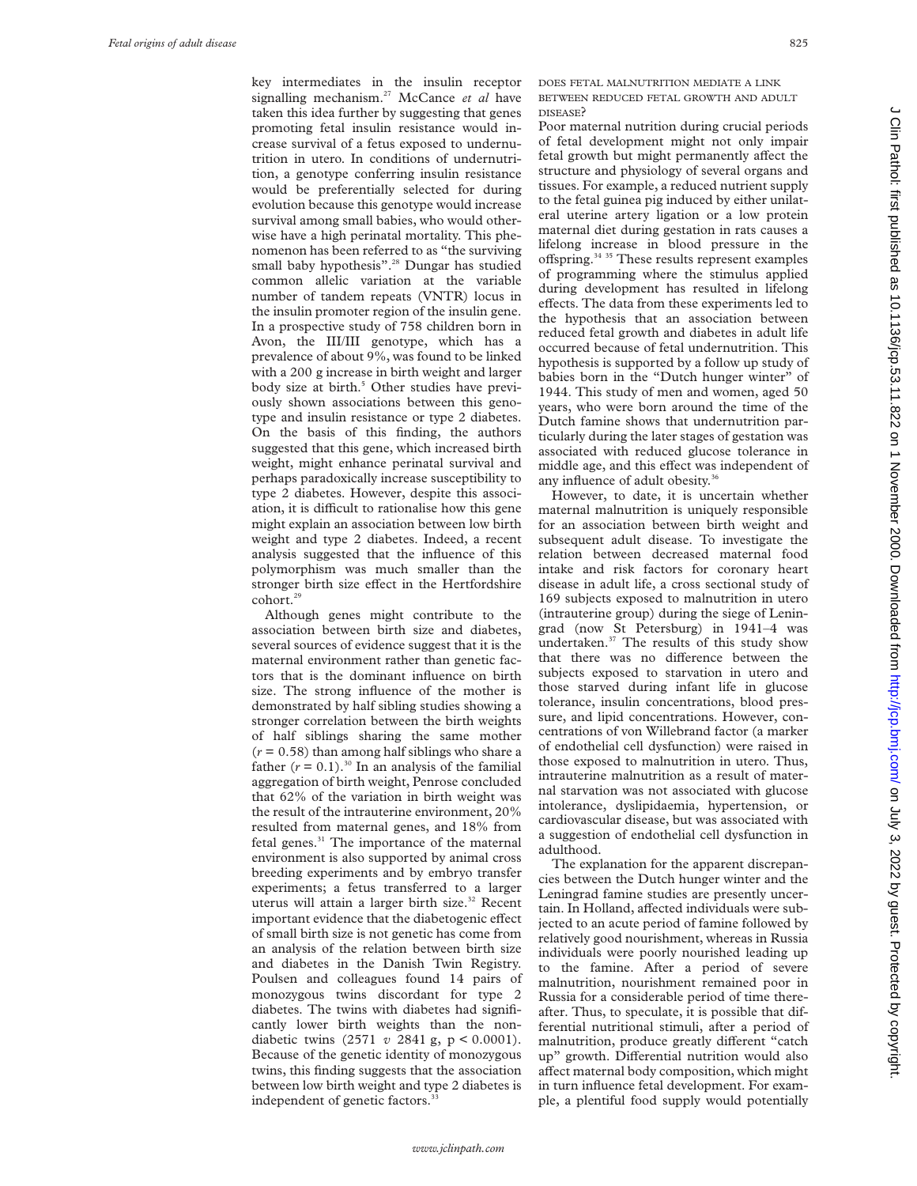key intermediates in the insulin receptor signalling mechanism.<sup>27</sup> McCance *et al* have taken this idea further by suggesting that genes promoting fetal insulin resistance would increase survival of a fetus exposed to undernutrition in utero. In conditions of undernutrition, a genotype conferring insulin resistance would be preferentially selected for during evolution because this genotype would increase survival among small babies, who would otherwise have a high perinatal mortality. This phenomenon has been referred to as "the surviving small baby hypothesis".<sup>28</sup> Dungar has studied common allelic variation at the variable number of tandem repeats (VNTR) locus in the insulin promoter region of the insulin gene. In a prospective study of 758 children born in Avon, the III/III genotype, which has a prevalence of about 9%, was found to be linked with a 200 g increase in birth weight and larger body size at birth.<sup>5</sup> Other studies have previously shown associations between this genotype and insulin resistance or type 2 diabetes. On the basis of this finding, the authors suggested that this gene, which increased birth weight, might enhance perinatal survival and perhaps paradoxically increase susceptibility to type 2 diabetes. However, despite this association, it is difficult to rationalise how this gene might explain an association between low birth weight and type 2 diabetes. Indeed, a recent analysis suggested that the influence of this polymorphism was much smaller than the stronger birth size effect in the Hertfordshire cohort.<sup>29</sup>

Although genes might contribute to the association between birth size and diabetes, several sources of evidence suggest that it is the maternal environment rather than genetic factors that is the dominant influence on birth size. The strong influence of the mother is demonstrated by half sibling studies showing a stronger correlation between the birth weights of half siblings sharing the same mother  $(r = 0.58)$  than among half siblings who share a father  $(r = 0.1)$ .<sup>30</sup> In an analysis of the familial aggregation of birth weight, Penrose concluded that 62% of the variation in birth weight was the result of the intrauterine environment, 20% resulted from maternal genes, and 18% from fetal genes.31 The importance of the maternal environment is also supported by animal cross breeding experiments and by embryo transfer experiments; a fetus transferred to a larger uterus will attain a larger birth size.<sup>32</sup> Recent important evidence that the diabetogenic effect of small birth size is not genetic has come from an analysis of the relation between birth size and diabetes in the Danish Twin Registry. Poulsen and colleagues found 14 pairs of monozygous twins discordant for type 2 diabetes. The twins with diabetes had significantly lower birth weights than the nondiabetic twins (2571 *v* 2841 g, p < 0.0001). Because of the genetic identity of monozygous twins, this finding suggests that the association between low birth weight and type 2 diabetes is independent of genetic factors.<sup>33</sup>

DOES FETAL MALNUTRITION MEDIATE A LINK BETWEEN REDUCED FETAL GROWTH AND ADULT DISEASE?

Poor maternal nutrition during crucial periods of fetal development might not only impair fetal growth but might permanently affect the structure and physiology of several organs and tissues. For example, a reduced nutrient supply to the fetal guinea pig induced by either unilateral uterine artery ligation or a low protein maternal diet during gestation in rats causes a lifelong increase in blood pressure in the offspring. $34\,35$  These results represent examples of programming where the stimulus applied during development has resulted in lifelong effects. The data from these experiments led to the hypothesis that an association between reduced fetal growth and diabetes in adult life occurred because of fetal undernutrition. This hypothesis is supported by a follow up study of babies born in the "Dutch hunger winter" of 1944. This study of men and women, aged 50 years, who were born around the time of the Dutch famine shows that undernutrition particularly during the later stages of gestation was associated with reduced glucose tolerance in middle age, and this effect was independent of any influence of adult obesity.<sup>36</sup>

However, to date, it is uncertain whether maternal malnutrition is uniquely responsible for an association between birth weight and subsequent adult disease. To investigate the relation between decreased maternal food intake and risk factors for coronary heart disease in adult life, a cross sectional study of 169 subjects exposed to malnutrition in utero (intrauterine group) during the siege of Leningrad (now St Petersburg) in 1941–4 was undertaken.<sup>37</sup> The results of this study show that there was no difference between the subjects exposed to starvation in utero and those starved during infant life in glucose tolerance, insulin concentrations, blood pressure, and lipid concentrations. However, concentrations of von Willebrand factor (a marker of endothelial cell dysfunction) were raised in those exposed to malnutrition in utero. Thus, intrauterine malnutrition as a result of maternal starvation was not associated with glucose intolerance, dyslipidaemia, hypertension, or cardiovascular disease, but was associated with a suggestion of endothelial cell dysfunction in adulthood.

The explanation for the apparent discrepancies between the Dutch hunger winter and the Leningrad famine studies are presently uncertain. In Holland, affected individuals were subjected to an acute period of famine followed by relatively good nourishment, whereas in Russia individuals were poorly nourished leading up to the famine. After a period of severe malnutrition, nourishment remained poor in Russia for a considerable period of time thereafter. Thus, to speculate, it is possible that differential nutritional stimuli, after a period of malnutrition, produce greatly different "catch up" growth. Differential nutrition would also affect maternal body composition, which might in turn influence fetal development. For example, a plentiful food supply would potentially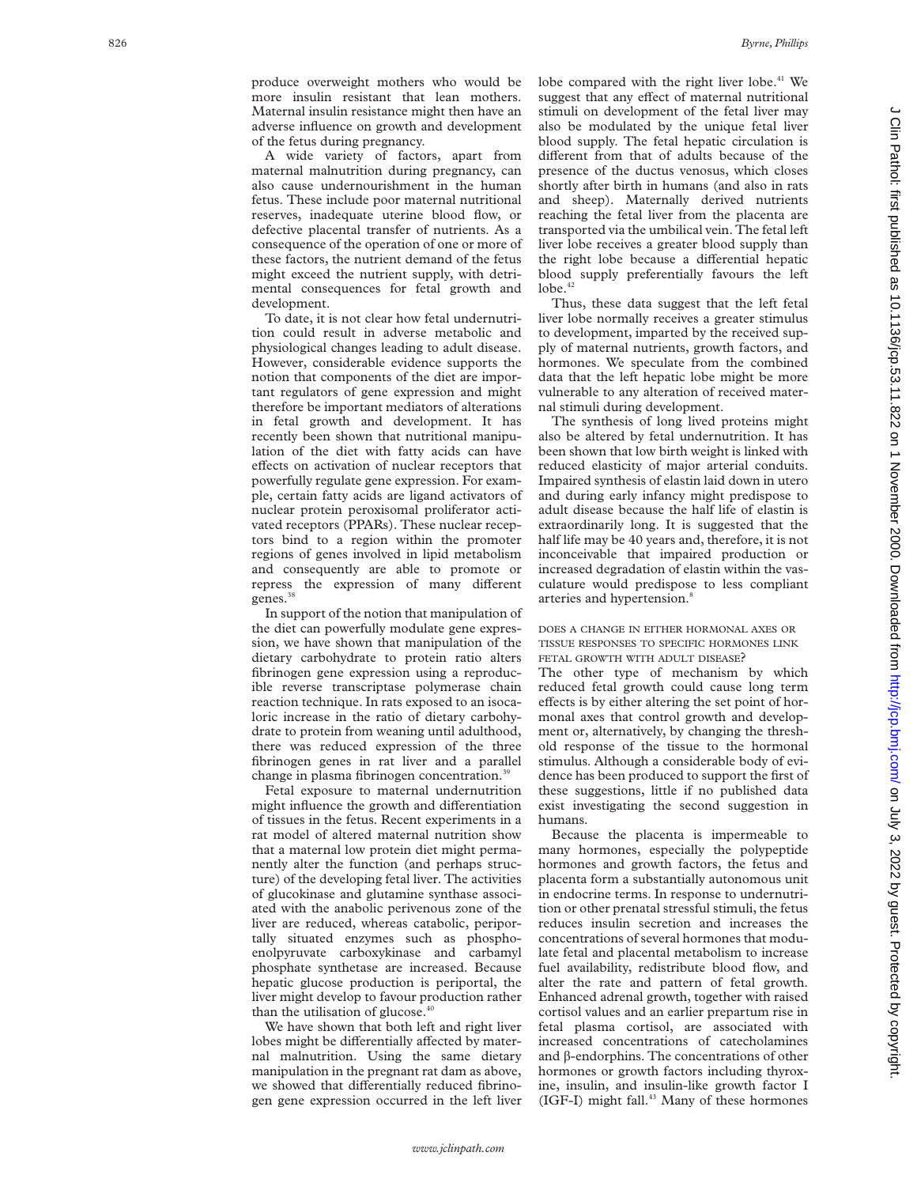produce overweight mothers who would be more insulin resistant that lean mothers. Maternal insulin resistance might then have an adverse influence on growth and development of the fetus during pregnancy.

A wide variety of factors, apart from maternal malnutrition during pregnancy, can also cause undernourishment in the human fetus. These include poor maternal nutritional reserves, inadequate uterine blood flow, or defective placental transfer of nutrients. As a consequence of the operation of one or more of these factors, the nutrient demand of the fetus might exceed the nutrient supply, with detrimental consequences for fetal growth and development.

To date, it is not clear how fetal undernutrition could result in adverse metabolic and physiological changes leading to adult disease. However, considerable evidence supports the notion that components of the diet are important regulators of gene expression and might therefore be important mediators of alterations in fetal growth and development. It has recently been shown that nutritional manipulation of the diet with fatty acids can have effects on activation of nuclear receptors that powerfully regulate gene expression. For example, certain fatty acids are ligand activators of nuclear protein peroxisomal proliferator activated receptors (PPARs). These nuclear receptors bind to a region within the promoter regions of genes involved in lipid metabolism and consequently are able to promote or repress the expression of many different genes.<sup>38</sup>

In support of the notion that manipulation of the diet can powerfully modulate gene expression, we have shown that manipulation of the dietary carbohydrate to protein ratio alters fibrinogen gene expression using a reproducible reverse transcriptase polymerase chain reaction technique. In rats exposed to an isocaloric increase in the ratio of dietary carbohydrate to protein from weaning until adulthood, there was reduced expression of the three fibrinogen genes in rat liver and a parallel change in plasma fibrinogen concentration.<sup>39</sup>

Fetal exposure to maternal undernutrition might influence the growth and differentiation of tissues in the fetus. Recent experiments in a rat model of altered maternal nutrition show that a maternal low protein diet might permanently alter the function (and perhaps structure) of the developing fetal liver. The activities of glucokinase and glutamine synthase associated with the anabolic perivenous zone of the liver are reduced, whereas catabolic, periportally situated enzymes such as phosphoenolpyruvate carboxykinase and carbamyl phosphate synthetase are increased. Because hepatic glucose production is periportal, the liver might develop to favour production rather than the utilisation of glucose.<sup>4</sup>

We have shown that both left and right liver lobes might be differentially affected by maternal malnutrition. Using the same dietary manipulation in the pregnant rat dam as above, we showed that differentially reduced fibrinogen gene expression occurred in the left liver lobe compared with the right liver lobe.<sup>41</sup> We suggest that any effect of maternal nutritional stimuli on development of the fetal liver may also be modulated by the unique fetal liver blood supply. The fetal hepatic circulation is different from that of adults because of the presence of the ductus venosus, which closes shortly after birth in humans (and also in rats and sheep). Maternally derived nutrients reaching the fetal liver from the placenta are transported via the umbilical vein. The fetal left liver lobe receives a greater blood supply than the right lobe because a differential hepatic blood supply preferentially favours the left  $lobe.42$ 

Thus, these data suggest that the left fetal liver lobe normally receives a greater stimulus to development, imparted by the received supply of maternal nutrients, growth factors, and hormones. We speculate from the combined data that the left hepatic lobe might be more vulnerable to any alteration of received maternal stimuli during development.

The synthesis of long lived proteins might also be altered by fetal undernutrition. It has been shown that low birth weight is linked with reduced elasticity of major arterial conduits. Impaired synthesis of elastin laid down in utero and during early infancy might predispose to adult disease because the half life of elastin is extraordinarily long. It is suggested that the half life may be 40 years and, therefore, it is not inconceivable that impaired production or increased degradation of elastin within the vasculature would predispose to less compliant arteries and hypertension. 8

DOES A CHANGE IN EITHER HORMONAL AXES OR TISSUE RESPONSES TO SPECIFIC HORMONES LINK FETAL GROWTH WITH ADULT DISEASE?

The other type of mechanism by which reduced fetal growth could cause long term effects is by either altering the set point of hormonal axes that control growth and development or, alternatively, by changing the threshold response of the tissue to the hormonal stimulus. Although a considerable body of evidence has been produced to support the first of these suggestions, little if no published data exist investigating the second suggestion in humans.

Because the placenta is impermeable to many hormones, especially the polypeptide hormones and growth factors, the fetus and placenta form a substantially autonomous unit in endocrine terms. In response to undernutrition or other prenatal stressful stimuli, the fetus reduces insulin secretion and increases the concentrations of several hormones that modulate fetal and placental metabolism to increase fuel availability, redistribute blood flow, and alter the rate and pattern of fetal growth. Enhanced adrenal growth, together with raised cortisol values and an earlier prepartum rise in fetal plasma cortisol, are associated with increased concentrations of catecholamines and â-endorphins. The concentrations of other hormones or growth factors including thyroxine, insulin, and insulin-like growth factor I (IGF-I) might fall.<sup>43</sup> Many of these hormones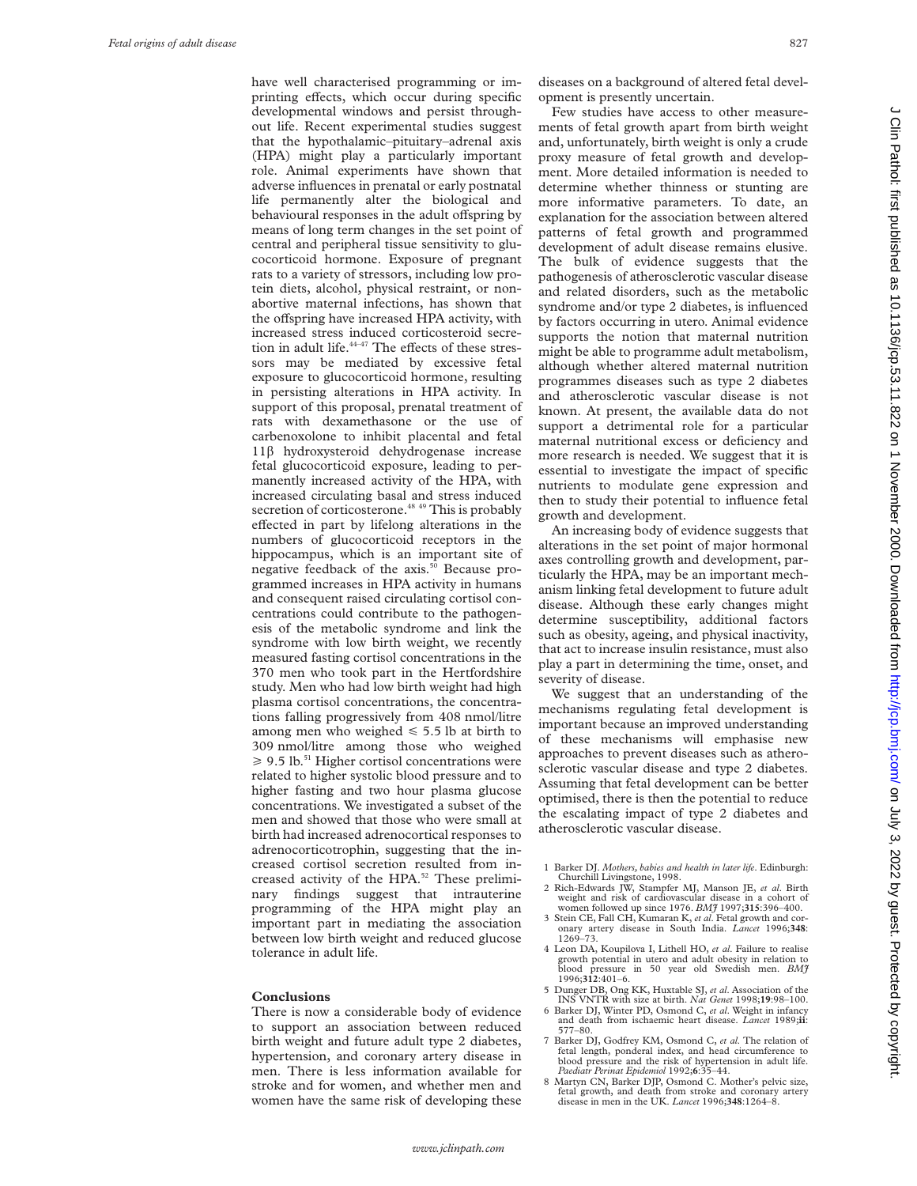have well characterised programming or imprinting effects, which occur during specific developmental windows and persist throughout life. Recent experimental studies suggest that the hypothalamic–pituitary–adrenal axis (HPA) might play a particularly important role. Animal experiments have shown that adverse influences in prenatal or early postnatal life permanently alter the biological and behavioural responses in the adult offspring by means of long term changes in the set point of central and peripheral tissue sensitivity to glucocorticoid hormone. Exposure of pregnant rats to a variety of stressors, including low protein diets, alcohol, physical restraint, or nonabortive maternal infections, has shown that the offspring have increased HPA activity, with increased stress induced corticosteroid secretion in adult life.<sup>44-47</sup> The effects of these stressors may be mediated by excessive fetal exposure to glucocorticoid hormone, resulting in persisting alterations in HPA activity. In support of this proposal, prenatal treatment of rats with dexamethasone or the use of carbenoxolone to inhibit placental and fetal 11â hydroxysteroid dehydrogenase increase fetal glucocorticoid exposure, leading to permanently increased activity of the HPA, with increased circulating basal and stress induced secretion of corticosterone.<sup>48 49</sup> This is probably effected in part by lifelong alterations in the numbers of glucocorticoid receptors in the hippocampus, which is an important site of negative feedback of the axis.<sup>50</sup> Because programmed increases in HPA activity in humans and consequent raised circulating cortisol concentrations could contribute to the pathogenesis of the metabolic syndrome and link the syndrome with low birth weight, we recently measured fasting cortisol concentrations in the 370 men who took part in the Hertfordshire study. Men who had low birth weight had high plasma cortisol concentrations, the concentrations falling progressively from 408 nmol/litre among men who weighed  $\leq 5.5$  lb at birth to 309 nmol/litre among those who weighed  $\geq 9.5$  lb.<sup>51</sup> Higher cortisol concentrations were related to higher systolic blood pressure and to higher fasting and two hour plasma glucose concentrations. We investigated a subset of the men and showed that those who were small at birth had increased adrenocortical responses to adrenocorticotrophin, suggesting that the increased cortisol secretion resulted from increased activity of the HPA.<sup>52</sup> These preliminary findings suggest that intrauterine programming of the HPA might play an important part in mediating the association between low birth weight and reduced glucose tolerance in adult life.

### **Conclusions**

There is now a considerable body of evidence to support an association between reduced birth weight and future adult type 2 diabetes, hypertension, and coronary artery disease in men. There is less information available for stroke and for women, and whether men and women have the same risk of developing these diseases on a background of altered fetal development is presently uncertain.

Few studies have access to other measurements of fetal growth apart from birth weight and, unfortunately, birth weight is only a crude proxy measure of fetal growth and development. More detailed information is needed to determine whether thinness or stunting are more informative parameters. To date, an explanation for the association between altered patterns of fetal growth and programmed development of adult disease remains elusive. The bulk of evidence suggests that the pathogenesis of atherosclerotic vascular disease and related disorders, such as the metabolic syndrome and/or type 2 diabetes, is influenced by factors occurring in utero. Animal evidence supports the notion that maternal nutrition might be able to programme adult metabolism, although whether altered maternal nutrition programmes diseases such as type 2 diabetes and atherosclerotic vascular disease is not known. At present, the available data do not support a detrimental role for a particular maternal nutritional excess or deficiency and more research is needed. We suggest that it is essential to investigate the impact of specific nutrients to modulate gene expression and then to study their potential to influence fetal growth and development.

An increasing body of evidence suggests that alterations in the set point of major hormonal axes controlling growth and development, particularly the HPA, may be an important mechanism linking fetal development to future adult disease. Although these early changes might determine susceptibility, additional factors such as obesity, ageing, and physical inactivity, that act to increase insulin resistance, must also play a part in determining the time, onset, and severity of disease.

We suggest that an understanding of the mechanisms regulating fetal development is important because an improved understanding of these mechanisms will emphasise new approaches to prevent diseases such as atherosclerotic vascular disease and type 2 diabetes. Assuming that fetal development can be better optimised, there is then the potential to reduce the escalating impact of type 2 diabetes and atherosclerotic vascular disease.

- 1 Barker DJ. *Mothers, babies and health in later life*. Edinburgh: Churchill Livingstone, 1998.
- 2 Rich-Edwards JW, Stampfer MJ, Manson JE, *et al*. Birth weight and risk of cardiovascular disease in a cohort of women followed up since 1976. *BMJ* 1997;**315**:396–400.
- 3 Stein CE, Fall CH, Kumaran K, *et al*. Fetal growth and coronary artery disease in South India. *Lancet* 1996;**348**: 1269–73.
- 4 Leon DA, Koupilova I, Lithell HO, *et al*. Failure to realise growth potential in utero and adult obesity in relation to blood pressure in 50 year old Swedish men. *BMJ* 1996;**312**:401–6.
- 5 Dunger DB, Ong KK, Huxtable SJ, *et al*. Association of the INS VNTR with size at birth. *Nat Genet* 1998;**19**:98–100.
- 6 Barker DJ, Winter PD, Osmond C, *et al*. Weight in infancy and death from ischaemic heart disease. *Lancet* 1989;**ii**: 577–80.
- 7 Barker DJ, Godfrey KM, Osmond C, *et al*. The relation of fetal length, ponderal index, and head circumference to blood pressure and the risk of hypertension in adult life. *Paediatr Perinat Epidemiol* 1992;**6**:35–44.
- 8 Martyn CN, Barker DJP, Osmond C. Mother's pelvic size, fetal growth, and death from stroke and coronary artery disease in men in the UK. *Lancet* 1996;**348**:1264–8.